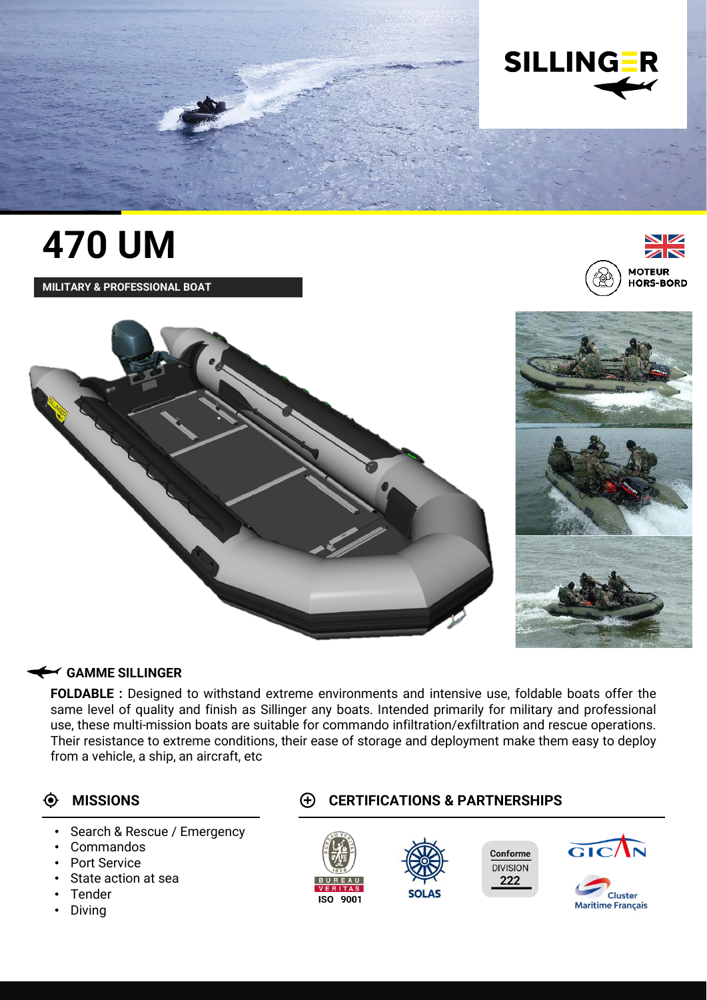

# **470 UM**

**MILITARY & PROFESSIONAL BOAT**





### **GAMME SILLINGER**

**FOLDABLE :** Designed to withstand extreme environments and intensive use, foldable boats offer the same level of quality and finish as Sillinger any boats. Intended primarily for military and professional use, these multi-mission boats are suitable for commando infiltration/exfiltration and rescue operations. Their resistance to extreme conditions, their ease of storage and deployment make them easy to deploy from a vehicle, a ship, an aircraft, etc

- Search & Rescue / Emergency
- Commandos
- Port Service
- State action at sea
- **Tender**
- Diving

## **MISSIONS CERTIFICATIONS & PARTNERSHIPS**





222

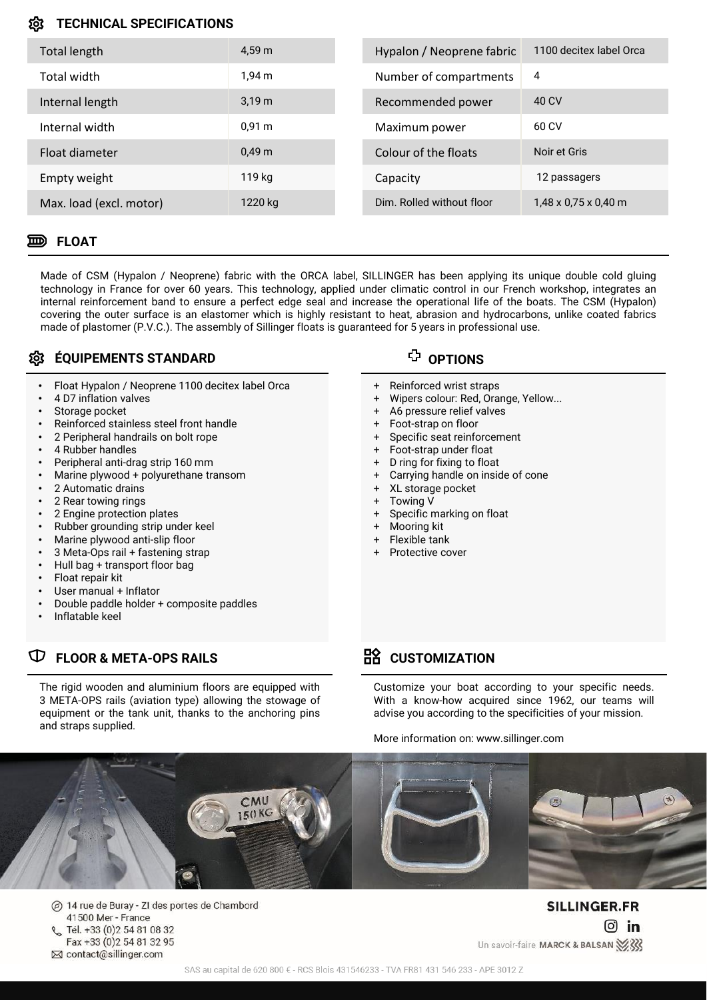### **TECHNICAL SPECIFICATIONS** ĨΩ

| Total length            | 4.59 m            | Hypalon / Neoprene fabric | 1100 decitex label Orca          |
|-------------------------|-------------------|---------------------------|----------------------------------|
| Total width             | 1.94 m            | Number of compartments    | 4                                |
| Internal length         | 3.19 <sub>m</sub> | Recommended power         | 40 CV                            |
| Internal width          | 0.91 m            | Maximum power             | 60 CV                            |
| Float diameter          | 0.49 <sub>m</sub> | Colour of the floats      | Noir et Gris                     |
| Empty weight            | 119 kg            | Capacity                  | 12 passagers                     |
| Max. load (excl. motor) | 1220 kg           | Dim. Rolled without floor | $1,48 \times 0.75 \times 0.40$ m |

### **FLOAT**

Made of CSM (Hypalon / Neoprene) fabric with the ORCA label, SILLINGER has been applying its unique double cold gluing technology in France for over 60 years. This technology, applied under climatic control in our French workshop, integrates an internal reinforcement band to ensure a perfect edge seal and increase the operational life of the boats. The CSM (Hypalon) covering the outer surface is an elastomer which is highly resistant to heat, abrasion and hydrocarbons, unlike coated fabrics made of plastomer (P.V.C.). The assembly of Sillinger floats is guaranteed for 5 years in professional use.

## $\textcircled{t}$  équipements standard

- Float Hypalon / Neoprene 1100 decitex label Orca
- 4 D7 inflation valves
- Storage pocket
- Reinforced stainless steel front handle
- 2 Peripheral handrails on bolt rope
- 4 Rubber handles
- Peripheral anti-drag strip 160 mm
- Marine plywood + polyurethane transom
- 2 Automatic drains
- 2 Rear towing rings
- 2 Engine protection plates
- Rubber grounding strip under keel
- Marine plywood anti-slip floor
- 3 Meta-Ops rail + fastening strap
- Hull bag + transport floor bag
- Float repair kit
- User manual + Inflator
- Double paddle holder + composite paddles
- Inflatable keel

## **FLOOR & META-OPS RAILS CUSTOMIZATION**

The rigid wooden and aluminium floors are equipped with 3 META-OPS rails (aviation type) allowing the stowage of equipment or the tank unit, thanks to the anchoring pins and straps supplied.

- Reinforced wrist straps
- Wipers colour: Red, Orange, Yellow...
- A6 pressure relief valves
- Foot-strap on floor
- Specific seat reinforcement
- + Foot-strap under float
- + D ring for fixing to float
- + Carrying handle on inside of cone
- + XL storage pocket
- + Towing V
- + Specific marking on float
- + Mooring kit
- + Flexible tank
- Protective cover

Customize your boat according to your specific needs. With a know-how acquired since 1962, our teams will advise you according to the specificities of your mission.

More information on: www.sillinger.com



14 rue de Buray - ZI des portes de Chambord  $\circledcirc$ 41500 Mer - France Tél. +33 (0)2 54 81 08 32 Fax +33 (0) 2 54 81 32 95 ⊠ contact@sillinger.com

SILLINGER.FR  $\boxed{0}$  in Un savoir-faire MARCK & BALSAN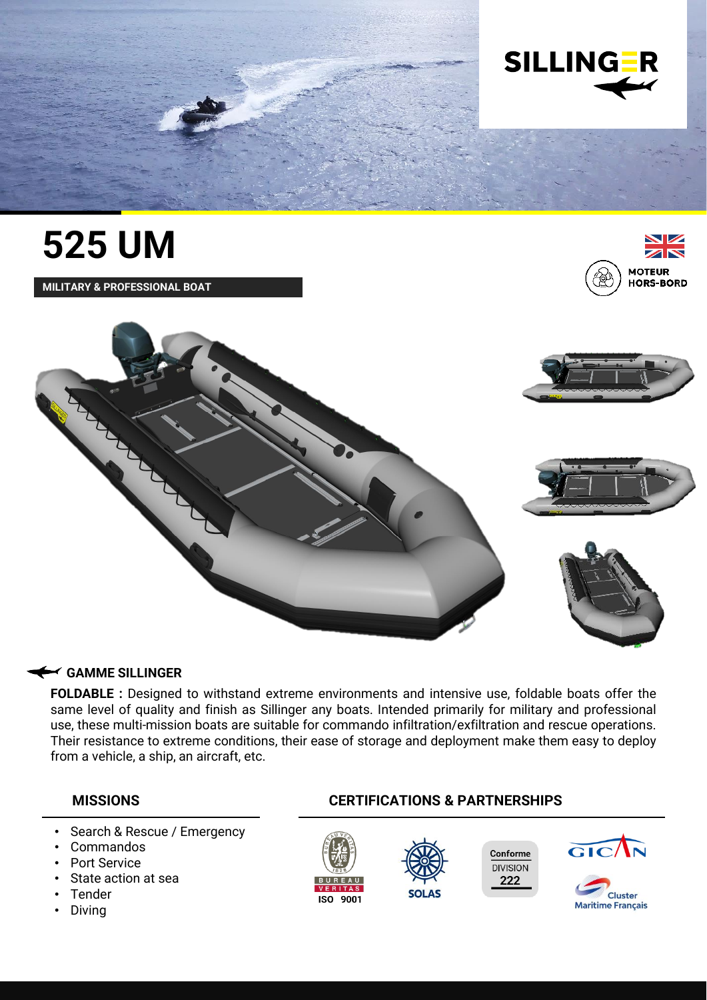

## **525 UM**

**MILITARY & PROFESSIONAL BOAT**









### **GAMME SILLINGER**

**FOLDABLE :** Designed to withstand extreme environments and intensive use, foldable boats offer the same level of quality and finish as Sillinger any boats. Intended primarily for military and professional use, these multi-mission boats are suitable for commando infiltration/exfiltration and rescue operations. Their resistance to extreme conditions, their ease of storage and deployment make them easy to deploy from a vehicle, a ship, an aircraft, etc.

- Search & Rescue / Emergency
- Commandos
- Port Service
- State action at sea
- **Tender**
- Diving

## **MISSIONS CERTIFICATIONS & PARTNERSHIPS**





Conforme **DIVISION** 222